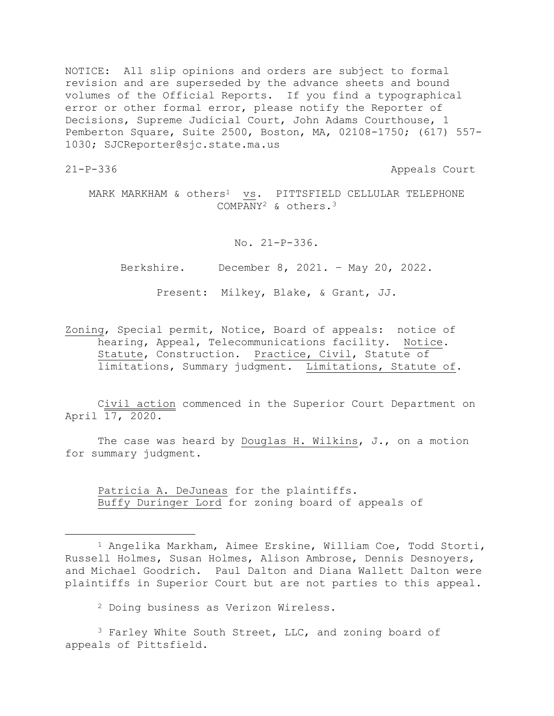NOTICE: All slip opinions and orders are subject to formal revision and are superseded by the advance sheets and bound volumes of the Official Reports. If you find a typographical error or other formal error, please notify the Reporter of Decisions, Supreme Judicial Court, John Adams Courthouse, 1 Pemberton Square, Suite 2500, Boston, MA, 02108-1750; (617) 557- 1030; SJCReporter@sjc.state.ma.us

21-P-336 Appeals Court

MARK MARKHAM & others<sup>1</sup> vs. PITTSFIELD CELLULAR TELEPHONE COMPANY<sup>2</sup> & others.<sup>3</sup>

No. 21-P-336.

Berkshire. December 8, 2021. – May 20, 2022.

Present: Milkey, Blake, & Grant, JJ.

Zoning, Special permit, Notice, Board of appeals: notice of hearing, Appeal, Telecommunications facility. Notice. Statute, Construction. Practice, Civil, Statute of limitations, Summary judgment. Limitations, Statute of.

Civil action commenced in the Superior Court Department on April 17, 2020.

The case was heard by Douglas H. Wilkins, J., on a motion for summary judgment.

Patricia A. DeJuneas for the plaintiffs. Buffy Duringer Lord for zoning board of appeals of

<sup>2</sup> Doing business as Verizon Wireless.

<sup>3</sup> Farley White South Street, LLC, and zoning board of appeals of Pittsfield.

<sup>1</sup> Angelika Markham, Aimee Erskine, William Coe, Todd Storti, Russell Holmes, Susan Holmes, Alison Ambrose, Dennis Desnoyers, and Michael Goodrich. Paul Dalton and Diana Wallett Dalton were plaintiffs in Superior Court but are not parties to this appeal.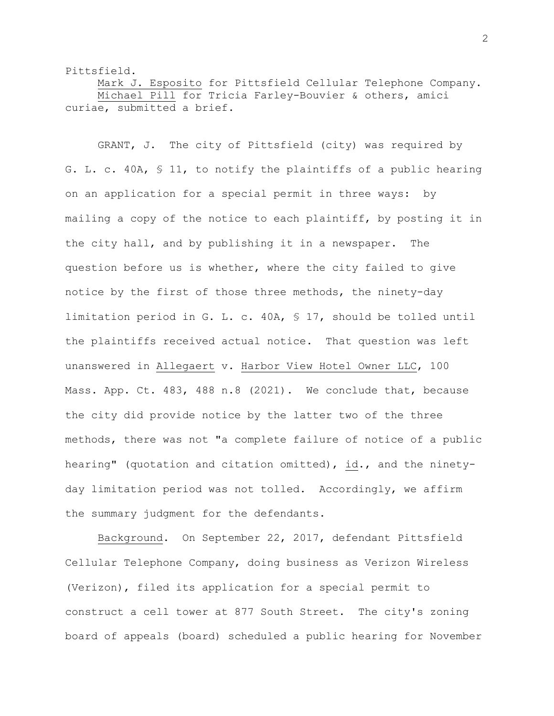Pittsfield.

Mark J. Esposito for Pittsfield Cellular Telephone Company. Michael Pill for Tricia Farley-Bouvier & others, amici curiae, submitted a brief.

GRANT, J. The city of Pittsfield (city) was required by G. L. c. 40A, § 11, to notify the plaintiffs of a public hearing on an application for a special permit in three ways: by mailing a copy of the notice to each plaintiff, by posting it in the city hall, and by publishing it in a newspaper. The question before us is whether, where the city failed to give notice by the first of those three methods, the ninety-day limitation period in G. L. c. 40A, § 17, should be tolled until the plaintiffs received actual notice. That question was left unanswered in Allegaert v. Harbor View Hotel Owner LLC, 100 Mass. App. Ct. 483, 488 n.8 (2021). We conclude that, because the city did provide notice by the latter two of the three methods, there was not "a complete failure of notice of a public hearing" (quotation and citation omitted), id., and the ninetyday limitation period was not tolled. Accordingly, we affirm the summary judgment for the defendants.

Background. On September 22, 2017, defendant Pittsfield Cellular Telephone Company, doing business as Verizon Wireless (Verizon), filed its application for a special permit to construct a cell tower at 877 South Street. The city's zoning board of appeals (board) scheduled a public hearing for November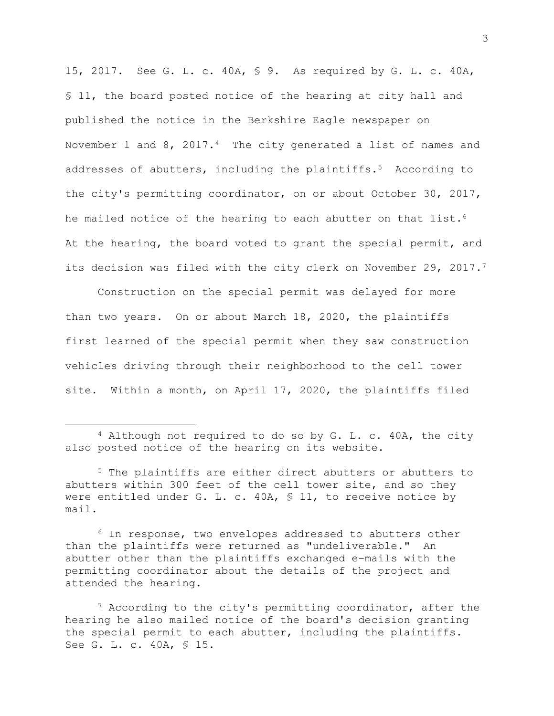15, 2017. See G. L. c. 40A, § 9. As required by G. L. c. 40A, § 11, the board posted notice of the hearing at city hall and published the notice in the Berkshire Eagle newspaper on November 1 and 8, 2017.<sup>4</sup> The city generated a list of names and addresses of abutters, including the plaintiffs.<sup>5</sup> According to the city's permitting coordinator, on or about October 30, 2017, he mailed notice of the hearing to each abutter on that list.<sup>6</sup> At the hearing, the board voted to grant the special permit, and its decision was filed with the city clerk on November 29, 2017.<sup>7</sup>

Construction on the special permit was delayed for more than two years. On or about March 18, 2020, the plaintiffs first learned of the special permit when they saw construction vehicles driving through their neighborhood to the cell tower site. Within a month, on April 17, 2020, the plaintiffs filed

<sup>6</sup> In response, two envelopes addressed to abutters other than the plaintiffs were returned as "undeliverable." An abutter other than the plaintiffs exchanged e-mails with the permitting coordinator about the details of the project and attended the hearing.

<sup>7</sup> According to the city's permitting coordinator, after the hearing he also mailed notice of the board's decision granting the special permit to each abutter, including the plaintiffs. See G. L. c. 40A, § 15.

<sup>4</sup> Although not required to do so by G. L. c. 40A, the city also posted notice of the hearing on its website.

<sup>5</sup> The plaintiffs are either direct abutters or abutters to abutters within 300 feet of the cell tower site, and so they were entitled under G. L. c. 40A, § 11, to receive notice by mail.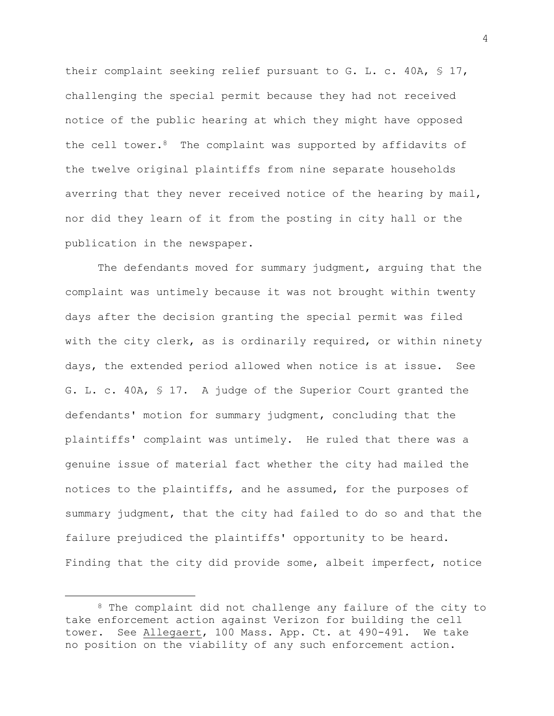their complaint seeking relief pursuant to G. L. c. 40A, § 17, challenging the special permit because they had not received notice of the public hearing at which they might have opposed the cell tower. $8$  The complaint was supported by affidavits of the twelve original plaintiffs from nine separate households averring that they never received notice of the hearing by mail, nor did they learn of it from the posting in city hall or the publication in the newspaper.

The defendants moved for summary judgment, arguing that the complaint was untimely because it was not brought within twenty days after the decision granting the special permit was filed with the city clerk, as is ordinarily required, or within ninety days, the extended period allowed when notice is at issue. See G. L. c. 40A, § 17. A judge of the Superior Court granted the defendants' motion for summary judgment, concluding that the plaintiffs' complaint was untimely. He ruled that there was a genuine issue of material fact whether the city had mailed the notices to the plaintiffs, and he assumed, for the purposes of summary judgment, that the city had failed to do so and that the failure prejudiced the plaintiffs' opportunity to be heard. Finding that the city did provide some, albeit imperfect, notice

4

<sup>8</sup> The complaint did not challenge any failure of the city to take enforcement action against Verizon for building the cell tower. See Allegaert, 100 Mass. App. Ct. at 490-491. We take no position on the viability of any such enforcement action.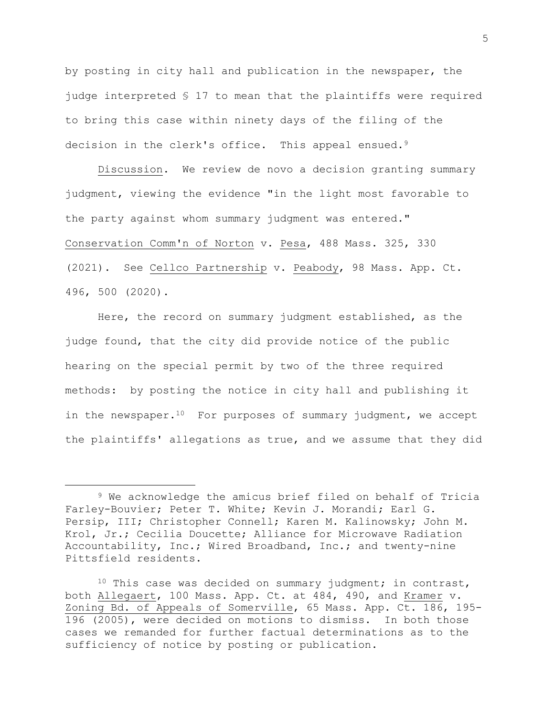by posting in city hall and publication in the newspaper, the judge interpreted § 17 to mean that the plaintiffs were required to bring this case within ninety days of the filing of the decision in the clerk's office. This appeal ensued.<sup>9</sup>

Discussion. We review de novo a decision granting summary judgment, viewing the evidence "in the light most favorable to the party against whom summary judgment was entered." Conservation Comm'n of Norton v. Pesa, 488 Mass. 325, 330 (2021). See Cellco Partnership v. Peabody, 98 Mass. App. Ct. 496, 500 (2020).

Here, the record on summary judgment established, as the judge found, that the city did provide notice of the public hearing on the special permit by two of the three required methods: by posting the notice in city hall and publishing it in the newspaper.<sup>10</sup> For purposes of summary judgment, we accept the plaintiffs' allegations as true, and we assume that they did

<sup>9</sup> We acknowledge the amicus brief filed on behalf of Tricia Farley-Bouvier; Peter T. White; Kevin J. Morandi; Earl G. Persip, III; Christopher Connell; Karen M. Kalinowsky; John M. Krol, Jr.; Cecilia Doucette; Alliance for Microwave Radiation Accountability, Inc.; Wired Broadband, Inc.; and twenty-nine Pittsfield residents.

<sup>&</sup>lt;sup>10</sup> This case was decided on summary judgment; in contrast, both Allegaert, 100 Mass. App. Ct. at 484, 490, and Kramer v. Zoning Bd. of Appeals of Somerville, 65 Mass. App. Ct. 186, 195- 196 (2005), were decided on motions to dismiss. In both those cases we remanded for further factual determinations as to the sufficiency of notice by posting or publication.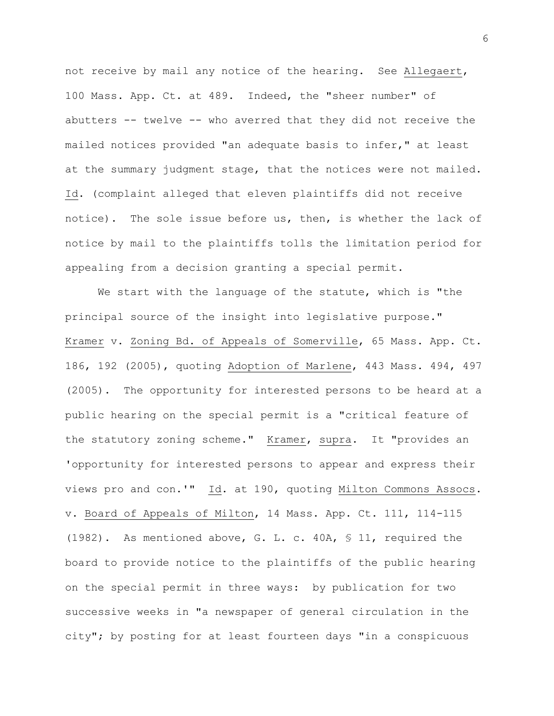not receive by mail any notice of the hearing. See Allegaert, 100 Mass. App. Ct. at 489. Indeed, the "sheer number" of abutters -- twelve -- who averred that they did not receive the mailed notices provided "an adequate basis to infer," at least at the summary judgment stage, that the notices were not mailed. Id. (complaint alleged that eleven plaintiffs did not receive notice). The sole issue before us, then, is whether the lack of notice by mail to the plaintiffs tolls the limitation period for appealing from a decision granting a special permit.

We start with the language of the statute, which is "the principal source of the insight into legislative purpose." Kramer v. Zoning Bd. of Appeals of Somerville, 65 Mass. App. Ct. 186, 192 (2005), quoting Adoption of Marlene, 443 Mass. 494, 497 (2005). The opportunity for interested persons to be heard at a public hearing on the special permit is a "critical feature of the statutory zoning scheme." Kramer, supra. It "provides an 'opportunity for interested persons to appear and express their views pro and con.'" Id. at 190, quoting Milton Commons Assocs. v. Board of Appeals of Milton, 14 Mass. App. Ct. 111, 114-115 (1982). As mentioned above, G. L. c. 40A, § 11, required the board to provide notice to the plaintiffs of the public hearing on the special permit in three ways: by publication for two successive weeks in "a newspaper of general circulation in the city"; by posting for at least fourteen days "in a conspicuous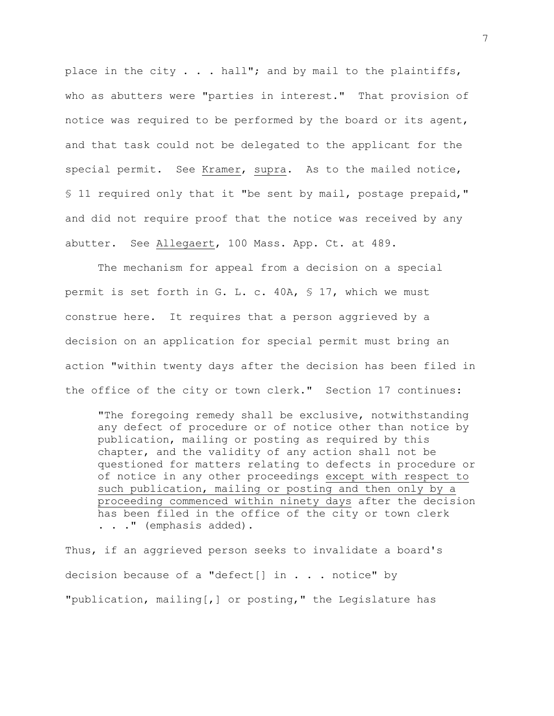place in the city  $\ldots$  hall"; and by mail to the plaintiffs, who as abutters were "parties in interest." That provision of notice was required to be performed by the board or its agent, and that task could not be delegated to the applicant for the special permit. See Kramer, supra. As to the mailed notice, § 11 required only that it "be sent by mail, postage prepaid," and did not require proof that the notice was received by any abutter. See Allegaert, 100 Mass. App. Ct. at 489.

The mechanism for appeal from a decision on a special permit is set forth in G. L. c. 40A, § 17, which we must construe here. It requires that a person aggrieved by a decision on an application for special permit must bring an action "within twenty days after the decision has been filed in the office of the city or town clerk." Section 17 continues:

"The foregoing remedy shall be exclusive, notwithstanding any defect of procedure or of notice other than notice by publication, mailing or posting as required by this chapter, and the validity of any action shall not be questioned for matters relating to defects in procedure or of notice in any other proceedings except with respect to such publication, mailing or posting and then only by a proceeding commenced within ninety days after the decision has been filed in the office of the city or town clerk . . ." (emphasis added).

Thus, if an aggrieved person seeks to invalidate a board's decision because of a "defect[] in  $\ldots$  notice" by "publication, mailing[,] or posting," the Legislature has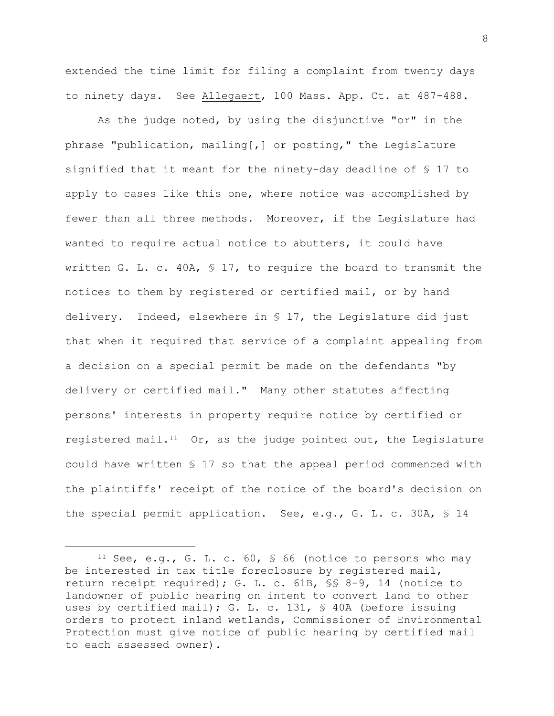extended the time limit for filing a complaint from twenty days to ninety days. See Allegaert, 100 Mass. App. Ct. at 487-488.

As the judge noted, by using the disjunctive "or" in the phrase "publication, mailing[,] or posting," the Legislature signified that it meant for the ninety-day deadline of § 17 to apply to cases like this one, where notice was accomplished by fewer than all three methods. Moreover, if the Legislature had wanted to require actual notice to abutters, it could have written G. L. c. 40A, § 17, to require the board to transmit the notices to them by registered or certified mail, or by hand delivery. Indeed, elsewhere in § 17, the Legislature did just that when it required that service of a complaint appealing from a decision on a special permit be made on the defendants "by delivery or certified mail." Many other statutes affecting persons' interests in property require notice by certified or registered mail.<sup>11</sup> Or, as the judge pointed out, the Legislature could have written § 17 so that the appeal period commenced with the plaintiffs' receipt of the notice of the board's decision on the special permit application. See, e.g., G. L. c. 30A, § 14

8

<sup>&</sup>lt;sup>11</sup> See, e.g., G. L. c.  $60, 66$  (notice to persons who may be interested in tax title foreclosure by registered mail, return receipt required); G. L. c. 61B, §§ 8-9, 14 (notice to landowner of public hearing on intent to convert land to other uses by certified mail); G. L. c. 131, § 40A (before issuing orders to protect inland wetlands, Commissioner of Environmental Protection must give notice of public hearing by certified mail to each assessed owner).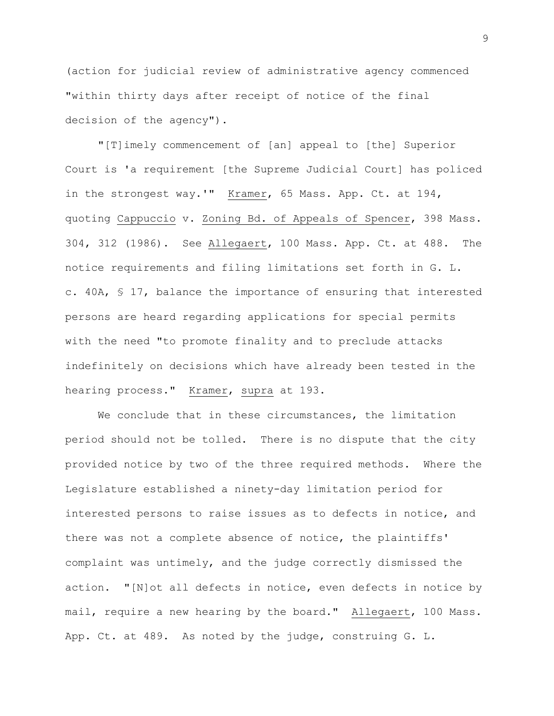(action for judicial review of administrative agency commenced "within thirty days after receipt of notice of the final decision of the agency").

"[T]imely commencement of [an] appeal to [the] Superior Court is 'a requirement [the Supreme Judicial Court] has policed in the strongest way.'" Kramer, 65 Mass. App. Ct. at 194, quoting Cappuccio v. Zoning Bd. of Appeals of Spencer, 398 Mass. 304, 312 (1986). See Allegaert, 100 Mass. App. Ct. at 488. The notice requirements and filing limitations set forth in G. L. c. 40A, § 17, balance the importance of ensuring that interested persons are heard regarding applications for special permits with the need "to promote finality and to preclude attacks indefinitely on decisions which have already been tested in the hearing process." Kramer, supra at 193.

We conclude that in these circumstances, the limitation period should not be tolled. There is no dispute that the city provided notice by two of the three required methods. Where the Legislature established a ninety-day limitation period for interested persons to raise issues as to defects in notice, and there was not a complete absence of notice, the plaintiffs' complaint was untimely, and the judge correctly dismissed the action. "[N]ot all defects in notice, even defects in notice by mail, require a new hearing by the board." Allegaert, 100 Mass. App. Ct. at 489. As noted by the judge, construing G. L.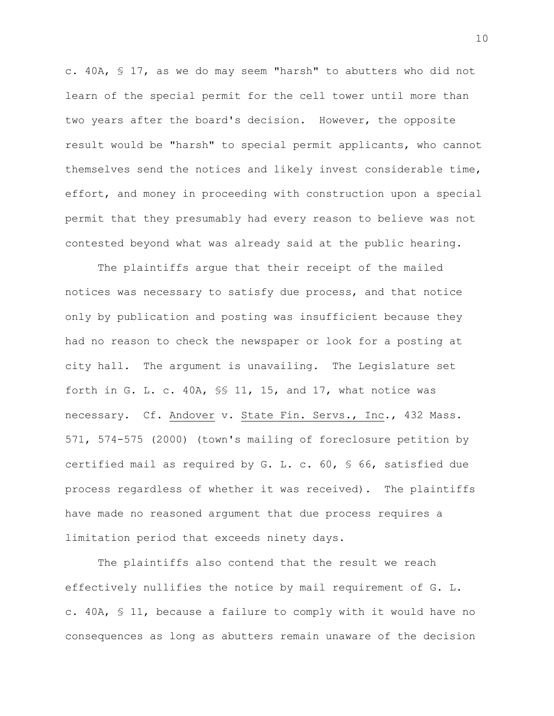c. 40A, § 17, as we do may seem "harsh" to abutters who did not learn of the special permit for the cell tower until more than two years after the board's decision. However, the opposite result would be "harsh" to special permit applicants, who cannot themselves send the notices and likely invest considerable time, effort, and money in proceeding with construction upon a special permit that they presumably had every reason to believe was not contested beyond what was already said at the public hearing.

The plaintiffs argue that their receipt of the mailed notices was necessary to satisfy due process, and that notice only by publication and posting was insufficient because they had no reason to check the newspaper or look for a posting at city hall. The argument is unavailing. The Legislature set forth in G. L. c. 40A, §§ 11, 15, and 17, what notice was necessary. Cf. Andover v. State Fin. Servs., Inc., 432 Mass. 571, 574-575 (2000) (town's mailing of foreclosure petition by certified mail as required by G. L. c. 60, § 66, satisfied due process regardless of whether it was received). The plaintiffs have made no reasoned argument that due process requires a limitation period that exceeds ninety days.

The plaintiffs also contend that the result we reach effectively nullifies the notice by mail requirement of G. L. c. 40A, § 11, because a failure to comply with it would have no consequences as long as abutters remain unaware of the decision

10